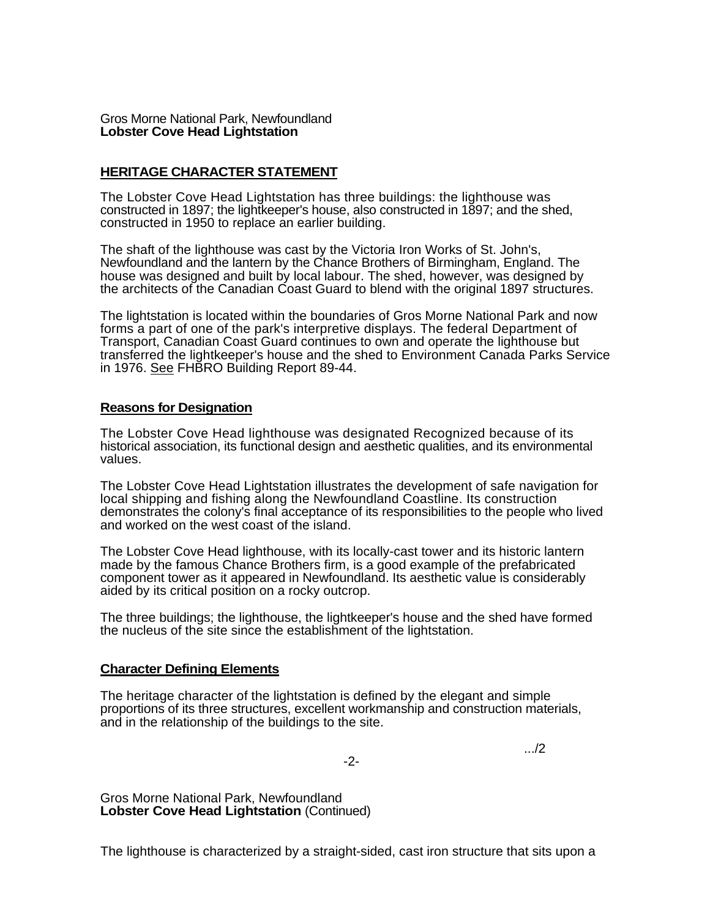Gros Morne National Park, Newfoundland **Lobster Cove Head Lightstation** 

## **HERITAGE CHARACTER STATEMENT**

The Lobster Cove Head Lightstation has three buildings: the lighthouse was constructed in 1897; the lightkeeper's house, also constructed in 1897; and the shed, constructed in 1950 to replace an earlier building.

The shaft of the lighthouse was cast by the Victoria Iron Works of St. John's, Newfoundland and the lantern by the Chance Brothers of Birmingham, England. The house was designed and built by local labour. The shed, however, was designed by the architects of the Canadian Coast Guard to blend with the original 1897 structures.

The lightstation is located within the boundaries of Gros Morne National Park and now forms a part of one of the park's interpretive displays. The federal Department of Transport, Canadian Coast Guard continues to own and operate the lighthouse but transferred the lightkeeper's house and the shed to Environment Canada Parks Service in 1976. See FHBRO Building Report 89-44.

## **Reasons for Designation**

The Lobster Cove Head lighthouse was designated Recognized because of its historical association, its functional design and aesthetic qualities, and its environmental values.

The Lobster Cove Head Lightstation illustrates the development of safe navigation for local shipping and fishing along the Newfoundland Coastline. Its construction demonstrates the colony's final acceptance of its responsibilities to the people who lived and worked on the west coast of the island.

The Lobster Cove Head lighthouse, with its locally-cast tower and its historic lantern made by the famous Chance Brothers firm, is a good example of the prefabricated component tower as it appeared in Newfoundland. Its aesthetic value is considerably aided by its critical position on a rocky outcrop.

The three buildings; the lighthouse, the lightkeeper's house and the shed have formed the nucleus of the site since the establishment of the lightstation.

## **Character Defining Elements**

The heritage character of the lightstation is defined by the elegant and simple proportions of its three structures, excellent workmanship and construction materials, and in the relationship of the buildings to the site.

-2-

.../2

Gros Morne National Park, Newfoundland **Lobster Cove Head Lightstation** (Continued)

The lighthouse is characterized by a straight-sided, cast iron structure that sits upon a